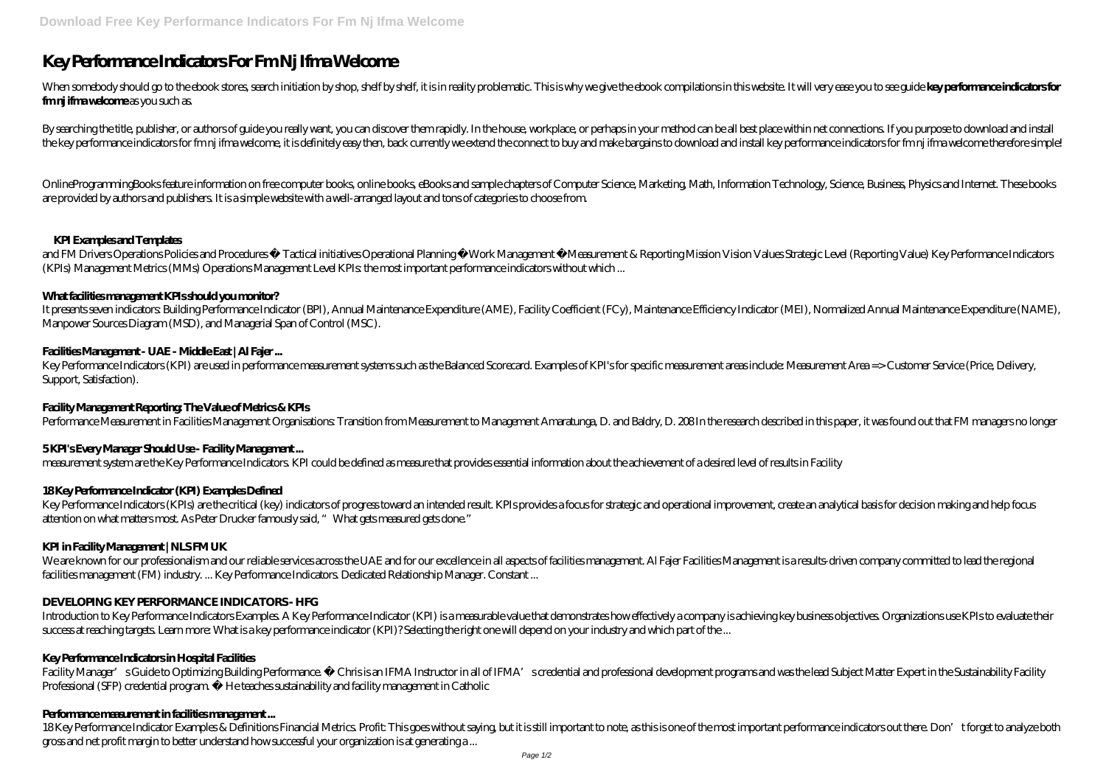# **Key Performance Indicators For Fm Nj Ifma Welcome**

When somebody should go to the ebook stores, search initiation by shop, shelf by shelf, it is in reality problematic. This is why we give the ebook compilations in this website. It will very ease you to see guide key perfo **fm nj if ma welcome** as you such as.

By searching the title, publisher, or authors of guide you really want, you can discover them rapidly. In the house, workplace, or perhaps in your method can be all best place within net connections. If you purpose to down the key performance indicators for fm nj ifma welcome, it is definitely easy then, back currently we extend the connect to buy and make bargains to download and install key performance indicators for fm nj ifma welcome the

and FM Drivers Operations Policies and Procedures • Tactical initiatives Operational Planning • Work Management • Measurement & Reporting Mission Vision Values Strategic Level (Reporting Value) Key Performance Indicators (KPIs) Management Metrics (MMs) Operations Management Level KPIs: the most important performance indicators without which ...

OnlineProgrammingBooks feature information on free computer books, online books, eBooks and sample chapters of Computer Science, Marketing, Math, Information Technology, Science, Business, Physics and Internet. These books are provided by authors and publishers. It is a simple website with a well-arranged layout and tons of categories to choose from.

## **KPI Examples and Templates**

Key Performance Indicators (KPIs) are the critical (key) indicators of progress toward an intended result. KPIs provides a focus for strategic and operational improvement, create an analytical basis for decision making and attention on what matters most. As Peter Drucker famously said, "What gets measured gets done."

## **What facilities management KPIs should you monitor?**

We are known for our professionalism and our reliable services across the UAE and for our excellence in all aspects of facilities management. Al Fajer Facilities Management is a results-driven company committed to lead the facilities management (FM) industry. ... Key Performance Indicators. Dedicated Relationship Manager. Constant ...

It presents seven indicators: Building Performance Indicator (BPI), Annual Maintenance Expenditure (AME), Facility Coefficient (FCy), Maintenance Efficiency Indicator (MEI), Normalized Annual Maintenance Expenditure (NAME), Manpower Sources Diagram (MSD), and Managerial Span of Control (MSC).

# **Facilities Management - UAE - Middle East | Al Fajer ...**

Introduction to Key Performance Indicators Examples A Key Performance Indicator (KPI) is a measurable value that demonstrates how effectively a company is achieving key business objectives. Organizations use KPIs to evalua success at reaching targets. Learn more: What is a key performance indicator (KPI)? Selecting the right one will depend on your industry and which part of the ...

Key Performance Indicators (KPI) are used in performance measurement systems such as the Balanced Scorecard. Examples of KPI's for specific measurement areas include: Measurement Area => Customer Service (Price, Delivery, Support, Satisfaction).

Facility Manager's Guide to Optimizing Building Performance. • Chrisis an IFMA Instructor in all of IFMA's credential and professional development programs and was the lead Subject Matter Expert in the Sustainability Facil Professional (SFP) credential program. • He teaches sustainability and facility management in Catholic

## **Facility Management Reporting: The Value of Metrics & KPIs**

18Key Performance Indicator Examples & Definitions Financial Metrics Profit: This goes without saying, but it is still important to note, as this is one of the most important performance indicators out there. Don't forget gross and net profit margin to better understand how successful your organization is at generating a ...

Performance Measurement in Facilities Management Organisations: Transition from Measurement to Management Amaratunga, D. and Baldry, D. 208 In the research described in this paper, it was found out that FM managers no longer

# **5 KPI's Every Manager Should Use - Facility Management ...**

measurement system are the Key Performance Indicators. KPI could be defined as measure that provides essential information about the achievement of a desired level of results in Facility

## **18 Key Performance Indicator (KPI) Examples Defined**

## **KPI in Facility Management | NLS FM UK**

# **DEVELOPING KEY PERFORMANCE INDICATORS - HFG**

## **Key Performance Indicators in Hospital Facilities**

## **Performance measurement in facilities management ...**